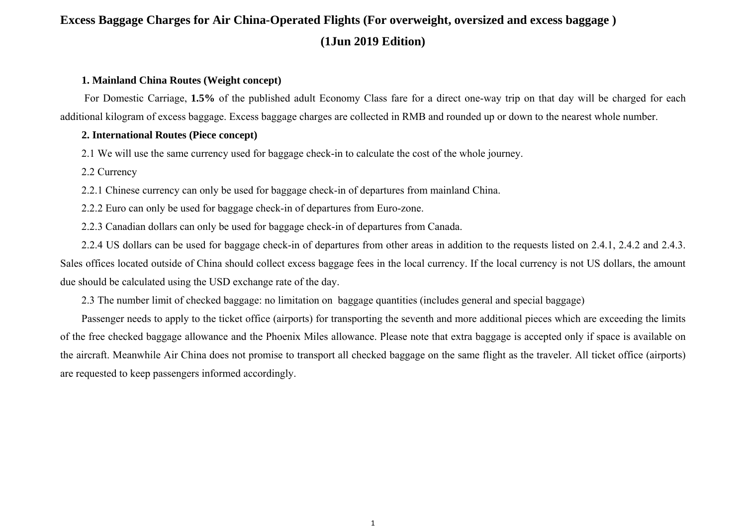#### **1. Mainland China Routes (Weight concept)**

For Domestic Carriage, **1.5%** of the published adult Economy Class fare for a direct one-way trip on that day will be charged for each additional kilogram of excess baggage. Excess baggage charges are collected in RMB and rounded up or down to the nearest whole number.

#### **2. International Routes (Piece concept)**

2.1 We will use the same currency used for baggage check-in to calculate the cost of the whole journey.

2.2 Currency

2.2.1 Chinese currency can only be used for baggage check-in of departures from mainland China.

2.2.2 Euro can only be used for baggage check-in of departures from Euro-zone.

2.2.3 Canadian dollars can only be used for baggage check-in of departures from Canada.

2.2.4 US dollars can be used for baggage check-in of departures from other areas in addition to the requests listed on 2.4.1, 2.4.2 and 2.4.3. Sales offices located outside of China should collect excess baggage fees in the local currency. If the local currency is not US dollars, the amount due should be calculated using the USD exchange rate of the day.

2.3 The number limit of checked baggage: no limitation on baggage quantities (includes general and special baggage)

Passenger needs to apply to the ticket office (airports) for transporting the seventh and more additional pieces which are exceeding the limits of the free checked baggage allowance and the Phoenix Miles allowance. Please note that extra baggage is accepted only if space is available on the aircraft. Meanwhile Air China does not promise to transport all checked baggage on the same flight as the traveler. All ticket office (airports) are requested to keep passengers informed accordingly.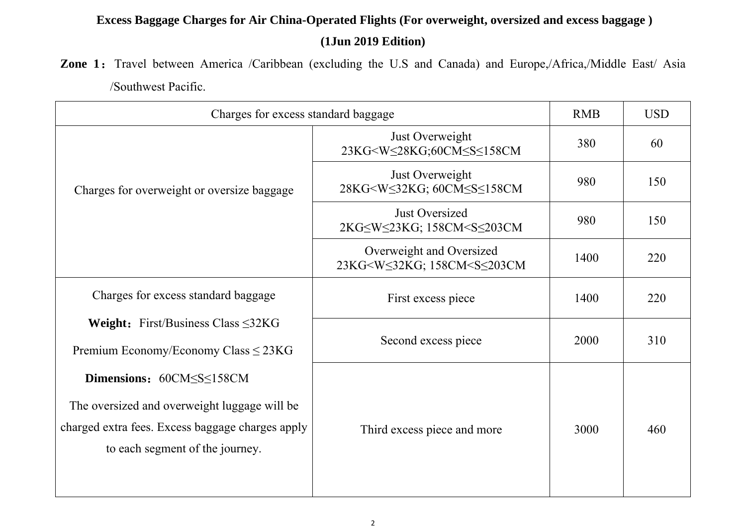Zone 1: Travel between America /Caribbean (excluding the U.S and Canada) and Europe,/Africa,/Middle East/ Asia /Southwest Pacific.

| Charges for excess standard baggage                                                                                                                             |                                                                                                       | <b>RMB</b> | <b>USD</b> |
|-----------------------------------------------------------------------------------------------------------------------------------------------------------------|-------------------------------------------------------------------------------------------------------|------------|------------|
| Charges for overweight or oversize baggage                                                                                                                      | Just Overweight<br>23KG <w≤28kg;60cm≤s≤158cm< td=""><td>380</td><td>60</td></w≤28kg;60cm≤s≤158cm<>    | 380        | 60         |
|                                                                                                                                                                 | Just Overweight<br>28KG <w≤32kg; 60cm≤s≤158cm<="" td=""><td>980</td><td>150</td></w≤32kg;>            | 980        | 150        |
|                                                                                                                                                                 | <b>Just Oversized</b>                                                                                 | 980        | 150        |
|                                                                                                                                                                 | Overweight and Oversized<br>23KG <w≤32kg; 158cm<s≤203cm<="" td=""><td>1400</td><td>220</td></w≤32kg;> | 1400       | 220        |
| Charges for excess standard baggage                                                                                                                             | First excess piece                                                                                    | 1400       | 220        |
| <b>Weight:</b> First/Business Class $\leq$ 32KG<br>Premium Economy/Economy Class $\leq$ 23KG                                                                    | Second excess piece                                                                                   | 2000       | 310        |
| Dimensions: 60CMSSS158CM<br>The oversized and overweight luggage will be<br>charged extra fees. Excess baggage charges apply<br>to each segment of the journey. | Third excess piece and more                                                                           | 3000       | 460        |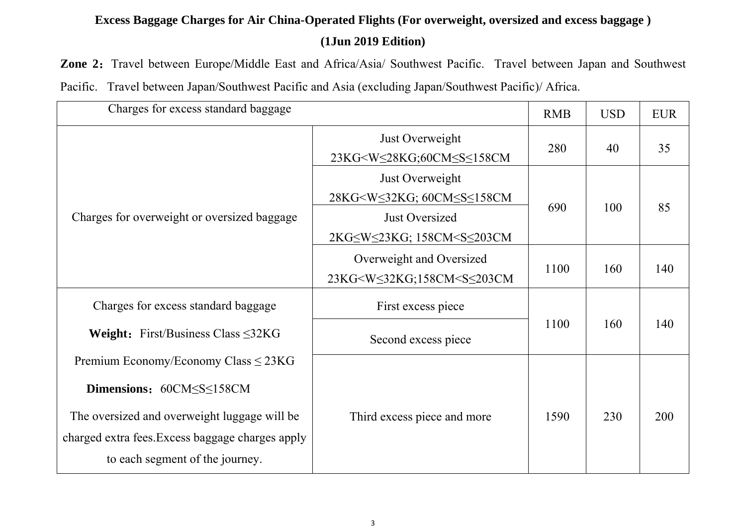Zone 2: Travel between Europe/Middle East and Africa/Asia/ Southwest Pacific. Travel between Japan and Southwest Pacific. Travel between Japan/Southwest Pacific and Asia (excluding Japan/Southwest Pacific)/ Africa.

| Charges for excess standard baggage                                                                                                                                                                          |                                                                                                                                                                         | <b>RMB</b> | <b>USD</b> | <b>EUR</b> |
|--------------------------------------------------------------------------------------------------------------------------------------------------------------------------------------------------------------|-------------------------------------------------------------------------------------------------------------------------------------------------------------------------|------------|------------|------------|
| Charges for overweight or oversized baggage                                                                                                                                                                  | Just Overweight<br>23KG <w≤28kg;60cm≤s≤158cm< td=""><td>280</td><td>40</td><td>35</td></w≤28kg;60cm≤s≤158cm<>                                                           | 280        | 40         | 35         |
|                                                                                                                                                                                                              | Just Overweight<br>28KG <ws32kg; 60cmsss158cm<br=""><b>Just Oversized</b><br/>2KG≤W≤23KG; 158CM<s≤203cm< td=""><td>690</td><td>100</td><td>85</td></s≤203cm<></ws32kg;> | 690        | 100        | 85         |
|                                                                                                                                                                                                              | Overweight and Oversized<br>23KG <w≤32kg;158cm<s≤203cm< td=""><td>1100</td><td>160</td><td>140</td></w≤32kg;158cm<s≤203cm<>                                             | 1100       | 160        | 140        |
| Charges for excess standard baggage                                                                                                                                                                          | First excess piece                                                                                                                                                      | 1100       | 160        | 140        |
| <b>Weight:</b> First/Business Class $\leq$ 32KG                                                                                                                                                              | Second excess piece                                                                                                                                                     |            |            |            |
| Premium Economy/Economy Class $\leq$ 23KG<br>Dimensions: 60CMSSS158CM<br>The oversized and overweight luggage will be<br>charged extra fees. Excess baggage charges apply<br>to each segment of the journey. | Third excess piece and more                                                                                                                                             | 1590       | 230        | 200        |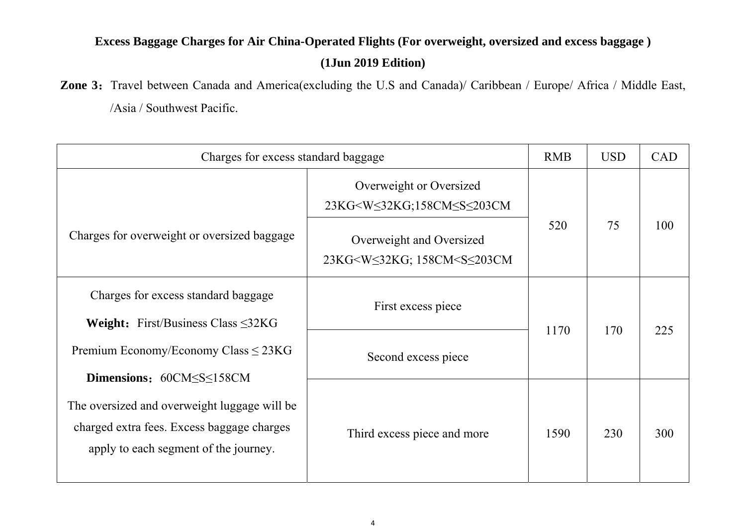#### **(1Jun 2019 Edition)**

Zone 3: Travel between Canada and America(excluding the U.S and Canada)/ Caribbean / Europe/ Africa / Middle East,

/Asia / Southwest Pacific.

| Charges for excess standard baggage                                                                                                 |                                                                                                                  | <b>RMB</b> | <b>USD</b> | <b>CAD</b> |
|-------------------------------------------------------------------------------------------------------------------------------------|------------------------------------------------------------------------------------------------------------------|------------|------------|------------|
|                                                                                                                                     | Overweight or Oversized<br>23KG <w≤32kg;158cm≤s≤203cm< td=""><td></td><td></td><td></td></w≤32kg;158cm≤s≤203cm<> |            |            |            |
| Charges for overweight or oversized baggage                                                                                         | Overweight and Oversized<br>23KG <ws32kg; 158cm<ss203cm<="" td=""><td>520</td><td>75</td><td>100</td></ws32kg;>  | 520        | 75         | 100        |
| Charges for excess standard baggage<br><b>Weight:</b> First/Business Class $\leq$ 32KG                                              | First excess piece                                                                                               | 1170       | 170        | 225        |
| Premium Economy/Economy Class $\leq$ 23KG<br>Dimensions: 60CMSSS158CM                                                               | Second excess piece                                                                                              |            |            |            |
| The oversized and overweight luggage will be<br>charged extra fees. Excess baggage charges<br>apply to each segment of the journey. | Third excess piece and more                                                                                      | 1590       | 230        | 300        |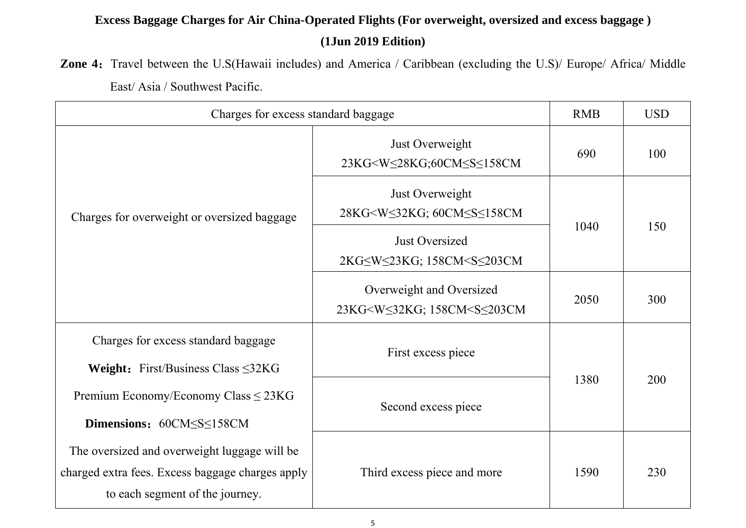Zone 4: Travel between the U.S(Hawaii includes) and America / Caribbean (excluding the U.S)/ Europe/ Africa/ Middle East/ Asia / Southwest Pacific.

| Charges for excess standard baggage                                                                                                 |                                                                                                                     | <b>RMB</b> | <b>USD</b> |
|-------------------------------------------------------------------------------------------------------------------------------------|---------------------------------------------------------------------------------------------------------------------|------------|------------|
| Charges for overweight or oversized baggage                                                                                         | Just Overweight<br>23KG <w≤28kg;60cm≤s≤158cm< td=""><td>690</td><td>100</td></w≤28kg;60cm≤s≤158cm<>                 | 690        | 100        |
|                                                                                                                                     | Just Overweight<br>28KG <w≤32kg; 60cm≤s≤158cm<="" td=""><td rowspan="2">1040</td><td rowspan="2">150</td></w≤32kg;> | 1040       | 150        |
|                                                                                                                                     | <b>Just Oversized</b><br>2KG≤W≤23KG; 158CM <s≤203cm< td=""></s≤203cm<>                                              |            |            |
|                                                                                                                                     | Overweight and Oversized<br>23KG <ws32kg; 158cm<ss203cm<="" td=""><td>2050</td><td>300</td></ws32kg;>               | 2050       | 300        |
| Charges for excess standard baggage                                                                                                 | First excess piece                                                                                                  |            | 200        |
| <b>Weight:</b> First/Business Class $\leq$ 32KG                                                                                     |                                                                                                                     | 1380       |            |
| Premium Economy/Economy Class ≤ 23KG                                                                                                | Second excess piece                                                                                                 |            |            |
| Dimensions: 60CM <s<158cm< td=""><td></td><td></td><td></td></s<158cm<>                                                             |                                                                                                                     |            |            |
| The oversized and overweight luggage will be<br>charged extra fees. Excess baggage charges apply<br>to each segment of the journey. | Third excess piece and more                                                                                         | 1590       | 230        |